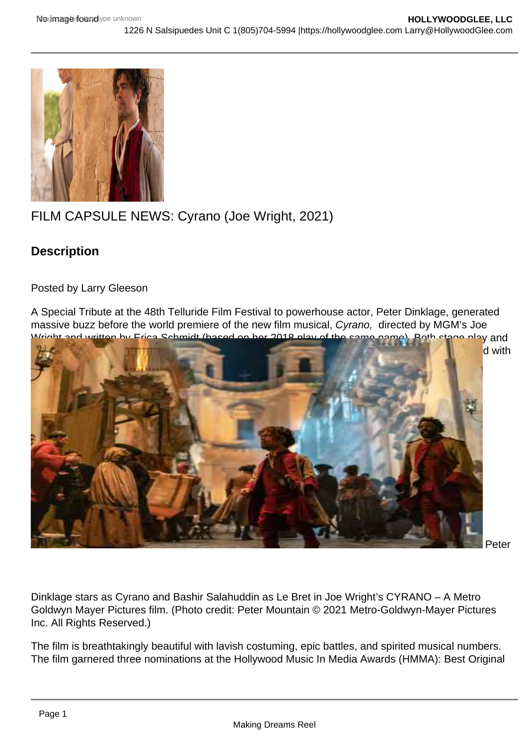## FILM CAPSULE NEWS: Cyrano (Joe Wright, 2021)

**Description** 

Posted by Larry Gleeson

A Special Tribute at the 48th Telluride Film Festival to powerhouse actor, Peter Dinklage, generated massive buzz before the world premiere of the new film musical, Cyrano, directed by MGM's Joe Wright and written by Erica Schmidt (based on her 2018 play of the same name). Both stage play and [screenplay are based on Edmund Rostand's 1897 play, Cyrano de Bergerac, incidentally credite](https://i0.wp.com/hollywoodglee.com/wp-content/uploads/2021/11/cyrano-1.jpg?ssl=1)d with introducing "panache" to the English language.

Peter

Dinklage stars as Cyrano and Bashir Salahuddin as Le Bret in Joe Wright's CYRANO – A Metro Goldwyn Mayer Pictures film. (Photo credit: Peter Mountain © 2021 Metro-Goldwyn-Mayer Pictures Inc. All Rights Reserved.)

The film is breathtakingly beautiful with lavish costuming, epic battles, and spirited musical numbers. The film garnered three nominations at the Hollywood Music In Media Awards (HMMA): Best Original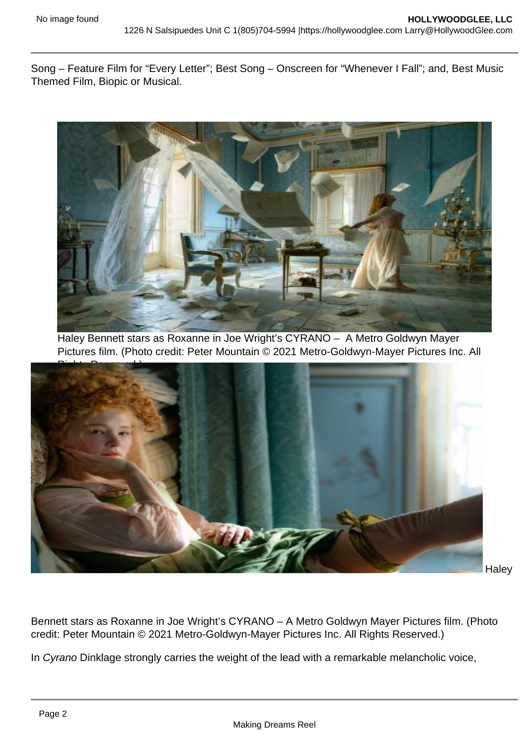Song – Feature Film for "Every Letter"; Best Song – Onscreen for "Whenever I Fall"; and, Best Music Themed Film, Biopic or Musical.

Haley Bennett stars as Roxanne in Joe Wright's CYRANO – A Metro Goldwyn Mayer Pictures film. (Photo credit: Peter Mountain © 2021 Metro-Goldwyn-Mayer Pictures Inc. All [Rights Reserved.\)](https://i0.wp.com/hollywoodglee.com/wp-content/uploads/2021/11/cyrano-Bennett.jpg?ssl=1)

**Haley** 

Bennett stars as Roxanne in Joe Wright's CYRANO – A Metro Goldwyn Mayer Pictures film. (Photo credit: Peter Mountain © 2021 Metro-Goldwyn-Mayer Pictures Inc. All Rights Reserved.)

In Cyrano Dinklage strongly carries the weight of the lead with a remarkable melancholic voice,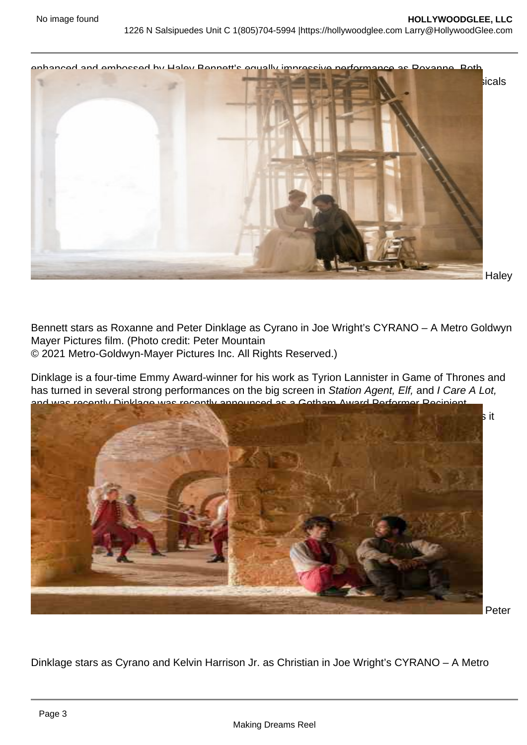enhanced and embossed by Haley Bennett's equally impressive performance as Roxanne. Both [Bennett and Dinklage are reprising their roles from the 2018 Connecticut-based Goodspeed Mus](https://i0.wp.com/hollywoodglee.com/wp-content/uploads/2021/11/cyrano-Bennett-Dinklage.jpg?ssl=1)icals production of Cyrano.

**Haley** 

Bennett stars as Roxanne and Peter Dinklage as Cyrano in Joe Wright's CYRANO – A Metro Goldwyn Mayer Pictures film. (Photo credit: Peter Mountain © 2021 Metro-Goldwyn-Mayer Pictures Inc. All Rights Reserved.)

Dinklage is a four-time Emmy Award-winner for his work as Tyrion Lannister in Game of Thrones and has turned in several strong performances on the big screen in Station Agent, Elf, and I Care A Lot, and was recently Dinklage was recently announced as a Gotham Award Performer Recipient. [Numerous pundits are mouthing Dinklage's performance as Oscar-caliber – the question being is](https://i0.wp.com/hollywoodglee.com/wp-content/uploads/2021/11/cyrano-Christian.jpg?ssl=1) it enough for this record-setting Emmy recipient to become an Oscar recipient?

Peter

Dinklage stars as Cyrano and Kelvin Harrison Jr. as Christian in Joe Wright's CYRANO – A Metro